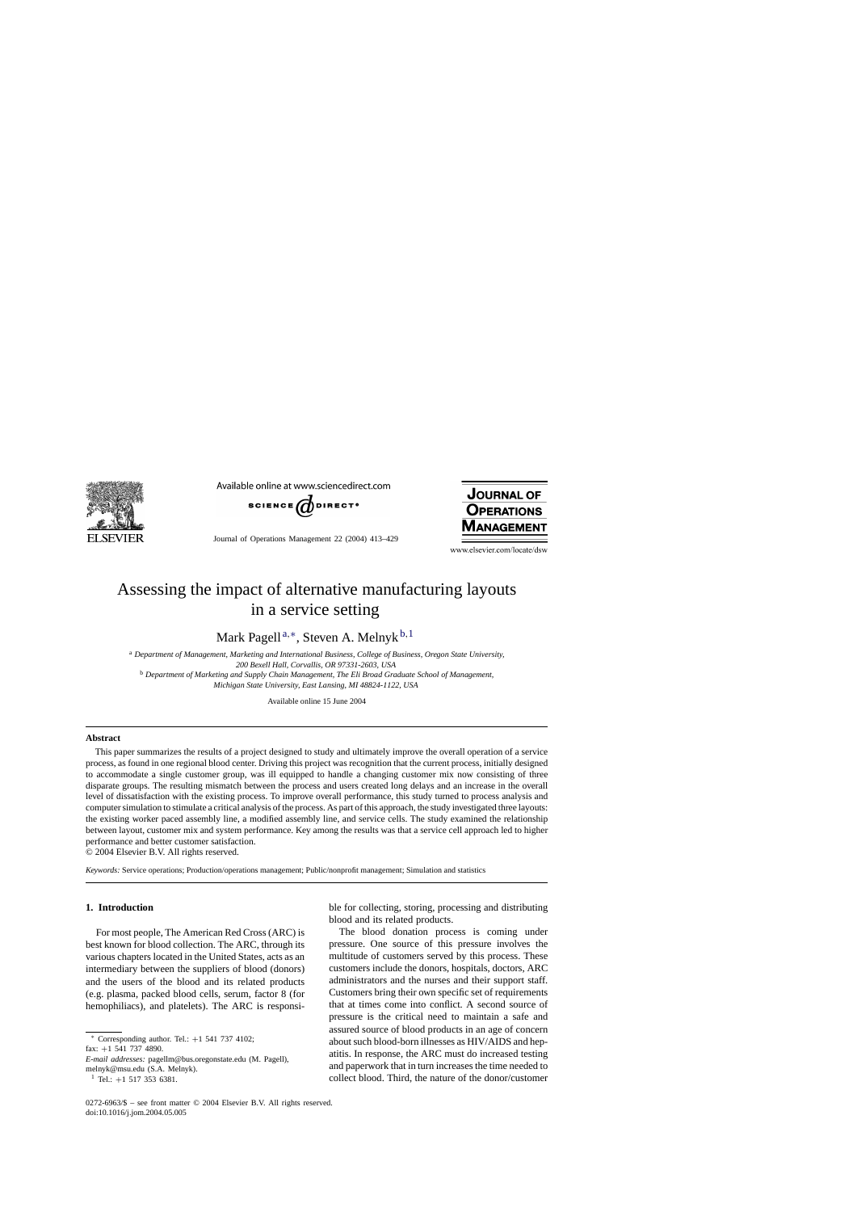

Available online at www.sciencedirect.com



Journal of Operations Management 22 (2004) 413–429



www.elsevier.com/locate/dsw

# Assessing the impact of alternative manufacturing layouts in a service setting

Mark Pagell <sup>a</sup>,∗, Steven A. Melnyk <sup>b</sup>,<sup>1</sup>

<sup>a</sup> *Department of Management, Marketing and International Business, College of Business, Oregon State University, 200 Bexell Hall, Corvallis, OR 97331-2603, USA* <sup>b</sup> *Department of Marketing and Supply Chain Management, The Eli Broad Graduate School of Management, Michigan State University, East Lansing, MI 48824-1122, USA*

Available online 15 June 2004

#### **Abstract**

This paper summarizes the results of a project designed to study and ultimately improve the overall operation of a service process, as found in one regional blood center. Driving this project was recognition that the current process, initially designed to accommodate a single customer group, was ill equipped to handle a changing customer mix now consisting of three disparate groups. The resulting mismatch between the process and users created long delays and an increase in the overall level of dissatisfaction with the existing process. To improve overall performance, this study turned to process analysis and computer simulation to stimulate a critical analysis of the process. As part of this approach, the study investigated three layouts: the existing worker paced assembly line, a modified assembly line, and service cells. The study examined the relationship between layout, customer mix and system performance. Key among the results was that a service cell approach led to higher performance and better customer satisfaction.

© 2004 Elsevier B.V. All rights reserved.

*Keywords:* Service operations; Production/operations management; Public/nonprofit management; Simulation and statistics

### **1. Introduction**

For most people, The American Red Cross (ARC) is best known for blood collection. The ARC, through its various chapters located in the United States, acts as an intermediary between the suppliers of blood (donors) and the users of the blood and its related products (e.g. plasma, packed blood cells, serum, factor 8 (for hemophiliacs), and platelets). The ARC is responsi-

Corresponding author. Tel.:  $+1$  541 737 4102;

fax: +1 541 737 4890.

*E-mail addresses:* pagellm@bus.oregonstate.edu (M. Pagell), melnyk@msu.edu (S.A. Melnyk).  $1$  Tel.: +1 517 353 6381.

ble for collecting, storing, processing and distributing blood and its related products.

The blood donation process is coming under pressure. One source of this pressure involves the multitude of customers served by this process. These customers include the donors, hospitals, doctors, ARC administrators and the nurses and their support staff. Customers bring their own specific set of requirements that at times come into conflict. A second source of pressure is the critical need to maintain a safe and assured source of blood products in an age of concern about such blood-born illnesses as HIV/AIDS and hepatitis. In response, the ARC must do increased testing and paperwork that in turn increases the time needed to collect blood. Third, the nature of the donor/customer

<sup>0272-6963/\$ –</sup> see front matter © 2004 Elsevier B.V. All rights reserved. doi:10.1016/j.jom.2004.05.005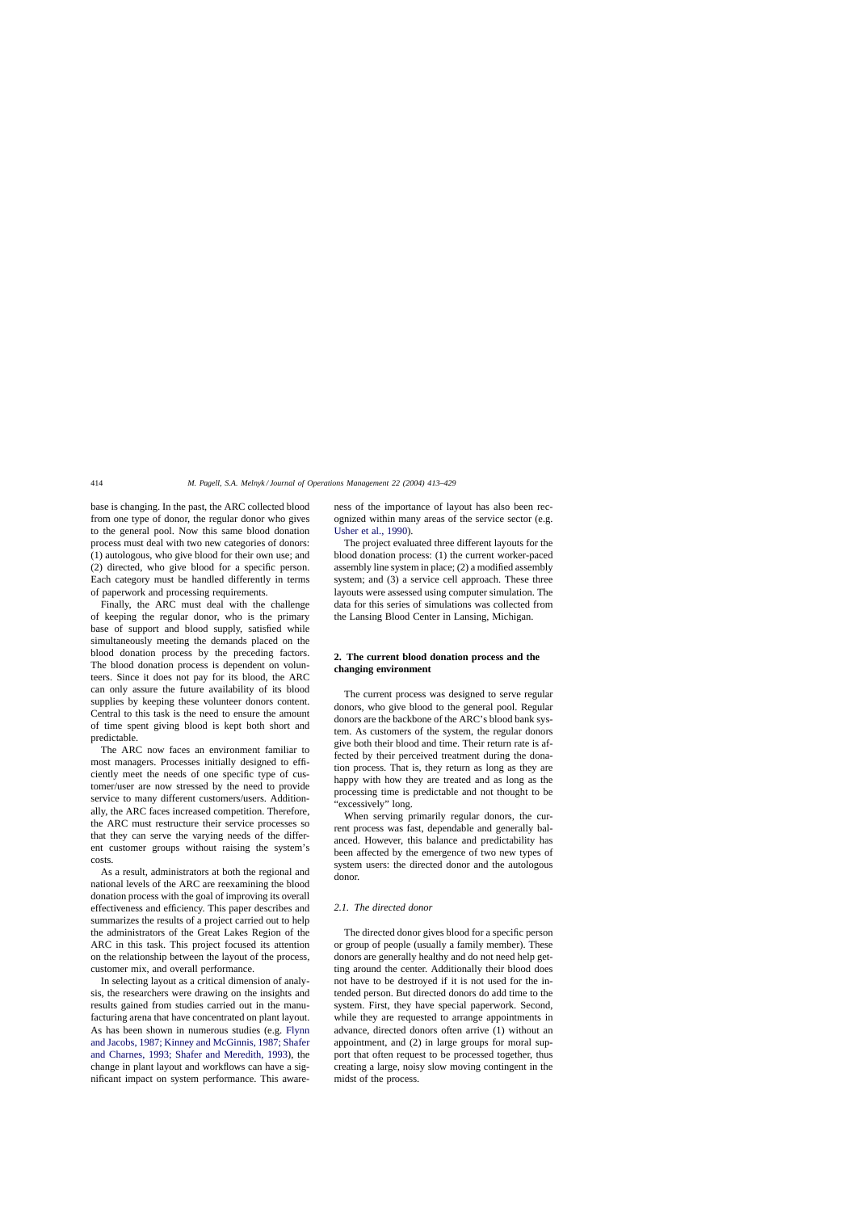base is changing. In the past, the ARC collected blood from one type of donor, the regular donor who gives to the general pool. Now this same blood donation process must deal with two new categories of donors: (1) autologous, who give blood for their own use; and (2) directed, who give blood for a specific person. Each category must be handled differently in terms of paperwork and processing requirements.

Finally, the ARC must deal with the challenge of keeping the regular donor, who is the primary base of support and blood supply, satisfied while simultaneously meeting the demands placed on the blood donation process by the preceding factors. The blood donation process is dependent on volunteers. Since it does not pay for its blood, the ARC can only assure the future availability of its blood supplies by keeping these volunteer donors content. Central to this task is the need to ensure the amount of time spent giving blood is kept both short and predictable.

The ARC now faces an environment familiar to most managers. Processes initially designed to efficiently meet the needs of one specific type of customer/user are now stressed by the need to provide service to many different customers/users. Additionally, the ARC faces increased competition. Therefore, the ARC must restructure their service processes so that they can serve the varying needs of the different customer groups without raising the system's costs.

As a result, administrators at both the regional and national levels of the ARC are reexamining the blood donation process with the goal of improving its overall effectiveness and efficiency. This paper describes and summarizes the results of a project carried out to help the administrators of the Great Lakes Region of the ARC in this task. This project focused its attention on the relationship between the layout of the process, customer mix, and overall performance.

In selecting layout as a critical dimension of analysis, the researchers were drawing on the insights and results gained from studies carried out in the manufacturing arena that have concentrated on plant layout. As has been shown in numerous studies (e.g. [Flynn](#page--1-0) [and Jacobs, 1987; Kinney and McGinnis, 1987; Shafer](#page--1-0) [and Charnes, 1993; Shafer and Meredith, 1993\)](#page--1-0), the change in plant layout and workflows can have a significant impact on system performance. This awareness of the importance of layout has also been recognized within many areas of the service sector (e.g. [Usher et al., 1990\).](#page--1-0)

The project evaluated three different layouts for the blood donation process: (1) the current worker-paced assembly line system in place; (2) a modified assembly system; and (3) a service cell approach. These three layouts were assessed using computer simulation. The data for this series of simulations was collected from the Lansing Blood Center in Lansing, Michigan.

## **2. The current blood donation process and the changing environment**

The current process was designed to serve regular donors, who give blood to the general pool. Regular donors are the backbone of the ARC's blood bank system. As customers of the system, the regular donors give both their blood and time. Their return rate is affected by their perceived treatment during the donation process. That is, they return as long as they are happy with how they are treated and as long as the processing time is predictable and not thought to be "excessively" long.

When serving primarily regular donors, the current process was fast, dependable and generally balanced. However, this balance and predictability has been affected by the emergence of two new types of system users: the directed donor and the autologous donor.

### *2.1. The directed donor*

The directed donor gives blood for a specific person or group of people (usually a family member). These donors are generally healthy and do not need help getting around the center. Additionally their blood does not have to be destroyed if it is not used for the intended person. But directed donors do add time to the system. First, they have special paperwork. Second, while they are requested to arrange appointments in advance, directed donors often arrive (1) without an appointment, and (2) in large groups for moral support that often request to be processed together, thus creating a large, noisy slow moving contingent in the midst of the process.